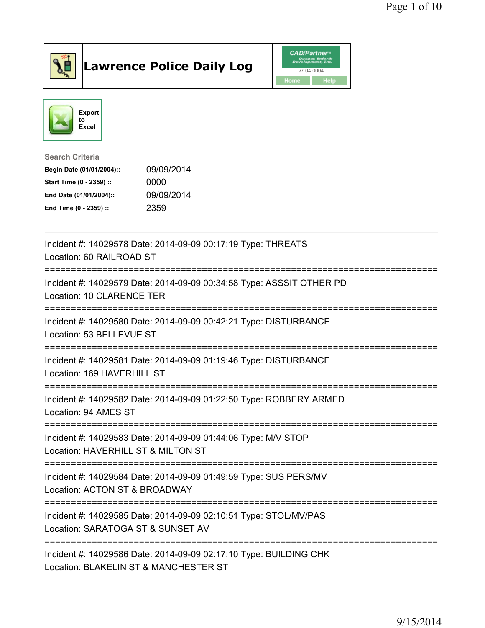

## Lawrence Police Daily Log **Daniel CAD/Partner**





Search Criteria Begin Date (01/01/2004):: 09/09/2014 Start Time (0 - 2359) :: 0000 End Date (01/01/2004):: 09/09/2014 End Time (0 - 2359) :: 2359

| Incident #: 14029578 Date: 2014-09-09 00:17:19 Type: THREATS<br>Location: 60 RAILROAD ST<br>:====================================         |
|-------------------------------------------------------------------------------------------------------------------------------------------|
| Incident #: 14029579 Date: 2014-09-09 00:34:58 Type: ASSSIT OTHER PD<br>Location: 10 CLARENCE TER<br>==================================== |
| Incident #: 14029580 Date: 2014-09-09 00:42:21 Type: DISTURBANCE<br>Location: 53 BELLEVUE ST                                              |
| Incident #: 14029581 Date: 2014-09-09 01:19:46 Type: DISTURBANCE<br>Location: 169 HAVERHILL ST                                            |
| Incident #: 14029582 Date: 2014-09-09 01:22:50 Type: ROBBERY ARMED<br>Location: 94 AMES ST                                                |
| Incident #: 14029583 Date: 2014-09-09 01:44:06 Type: M/V STOP<br>Location: HAVERHILL ST & MILTON ST                                       |
| Incident #: 14029584 Date: 2014-09-09 01:49:59 Type: SUS PERS/MV<br>Location: ACTON ST & BROADWAY                                         |
| Incident #: 14029585 Date: 2014-09-09 02:10:51 Type: STOL/MV/PAS<br>Location: SARATOGA ST & SUNSET AV                                     |
| Incident #: 14029586 Date: 2014-09-09 02:17:10 Type: BUILDING CHK<br>Location: BLAKELIN ST & MANCHESTER ST                                |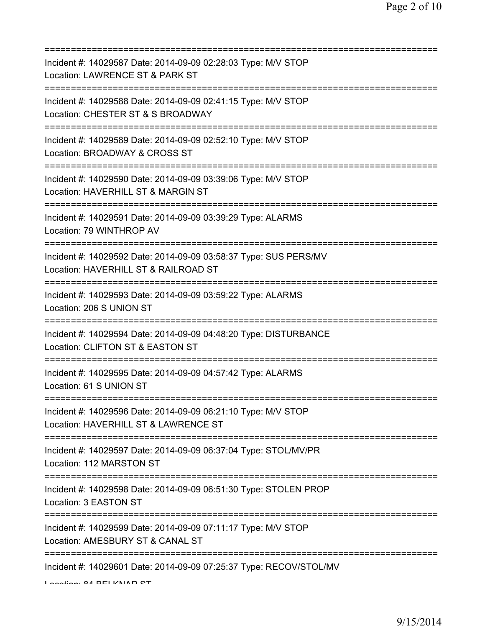| Incident #: 14029587 Date: 2014-09-09 02:28:03 Type: M/V STOP<br>Location: LAWRENCE ST & PARK ST                                        |
|-----------------------------------------------------------------------------------------------------------------------------------------|
| Incident #: 14029588 Date: 2014-09-09 02:41:15 Type: M/V STOP<br>Location: CHESTER ST & S BROADWAY<br>================================= |
| Incident #: 14029589 Date: 2014-09-09 02:52:10 Type: M/V STOP<br>Location: BROADWAY & CROSS ST                                          |
| Incident #: 14029590 Date: 2014-09-09 03:39:06 Type: M/V STOP<br>Location: HAVERHILL ST & MARGIN ST<br>=========================        |
| Incident #: 14029591 Date: 2014-09-09 03:39:29 Type: ALARMS<br>Location: 79 WINTHROP AV                                                 |
| Incident #: 14029592 Date: 2014-09-09 03:58:37 Type: SUS PERS/MV<br>Location: HAVERHILL ST & RAILROAD ST                                |
| Incident #: 14029593 Date: 2014-09-09 03:59:22 Type: ALARMS<br>Location: 206 S UNION ST<br>;===============================             |
| Incident #: 14029594 Date: 2014-09-09 04:48:20 Type: DISTURBANCE<br>Location: CLIFTON ST & EASTON ST                                    |
| Incident #: 14029595 Date: 2014-09-09 04:57:42 Type: ALARMS<br>Location: 61 S UNION ST                                                  |
| Incident #: 14029596 Date: 2014-09-09 06:21:10 Type: M/V STOP<br>Location: HAVERHILL ST & LAWRENCE ST                                   |
| Incident #: 14029597 Date: 2014-09-09 06:37:04 Type: STOL/MV/PR<br>Location: 112 MARSTON ST                                             |
| Incident #: 14029598 Date: 2014-09-09 06:51:30 Type: STOLEN PROP<br>Location: 3 EASTON ST                                               |
| Incident #: 14029599 Date: 2014-09-09 07:11:17 Type: M/V STOP<br>Location: AMESBURY ST & CANAL ST                                       |
| Incident #: 14029601 Date: 2014-09-09 07:25:37 Type: RECOV/STOL/MV                                                                      |

Location: 04 BELIZNAD CT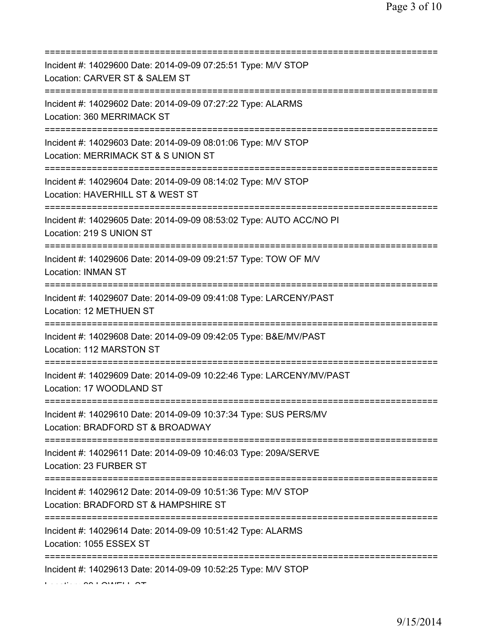| Incident #: 14029600 Date: 2014-09-09 07:25:51 Type: M/V STOP<br>Location: CARVER ST & SALEM ST<br>=======================                 |
|--------------------------------------------------------------------------------------------------------------------------------------------|
| Incident #: 14029602 Date: 2014-09-09 07:27:22 Type: ALARMS<br>Location: 360 MERRIMACK ST<br>======================                        |
| Incident #: 14029603 Date: 2014-09-09 08:01:06 Type: M/V STOP<br>Location: MERRIMACK ST & S UNION ST                                       |
| Incident #: 14029604 Date: 2014-09-09 08:14:02 Type: M/V STOP<br>Location: HAVERHILL ST & WEST ST<br>===================================== |
| Incident #: 14029605 Date: 2014-09-09 08:53:02 Type: AUTO ACC/NO PI<br>Location: 219 S UNION ST<br>============================            |
| Incident #: 14029606 Date: 2014-09-09 09:21:57 Type: TOW OF M/V<br>Location: INMAN ST                                                      |
| Incident #: 14029607 Date: 2014-09-09 09:41:08 Type: LARCENY/PAST<br>Location: 12 METHUEN ST                                               |
| Incident #: 14029608 Date: 2014-09-09 09:42:05 Type: B&E/MV/PAST<br>Location: 112 MARSTON ST                                               |
| Incident #: 14029609 Date: 2014-09-09 10:22:46 Type: LARCENY/MV/PAST<br>Location: 17 WOODLAND ST                                           |
| Incident #: 14029610 Date: 2014-09-09 10:37:34 Type: SUS PERS/MV<br>Location: BRADFORD ST & BROADWAY                                       |
| Incident #: 14029611 Date: 2014-09-09 10:46:03 Type: 209A/SERVE<br>Location: 23 FURBER ST                                                  |
| Incident #: 14029612 Date: 2014-09-09 10:51:36 Type: M/V STOP<br>Location: BRADFORD ST & HAMPSHIRE ST                                      |
| =========================<br>Incident #: 14029614 Date: 2014-09-09 10:51:42 Type: ALARMS<br>Location: 1055 ESSEX ST                        |
| Incident #: 14029613 Date: 2014-09-09 10:52:25 Type: M/V STOP                                                                              |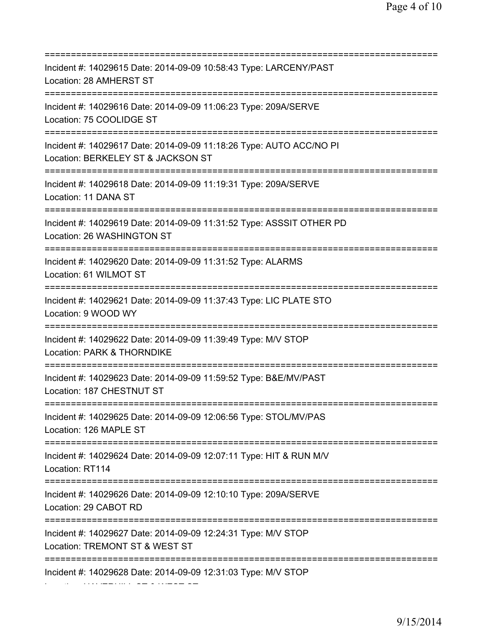=========================================================================== Incident #: 14029615 Date: 2014-09-09 10:58:43 Type: LARCENY/PAST Location: 28 AMHERST ST =========================================================================== Incident #: 14029616 Date: 2014-09-09 11:06:23 Type: 209A/SERVE Location: 75 COOLIDGE ST =========================================================================== Incident #: 14029617 Date: 2014-09-09 11:18:26 Type: AUTO ACC/NO PI Location: BERKELEY ST & JACKSON ST =========================================================================== Incident #: 14029618 Date: 2014-09-09 11:19:31 Type: 209A/SERVE Location: 11 DANA ST =========================================================================== Incident #: 14029619 Date: 2014-09-09 11:31:52 Type: ASSSIT OTHER PD Location: 26 WASHINGTON ST =========================================================================== Incident #: 14029620 Date: 2014-09-09 11:31:52 Type: ALARMS Location: 61 WILMOT ST =========================================================================== Incident #: 14029621 Date: 2014-09-09 11:37:43 Type: LIC PLATE STO Location: 9 WOOD WY =========================================================================== Incident #: 14029622 Date: 2014-09-09 11:39:49 Type: M/V STOP Location: PARK & THORNDIKE =========================================================================== Incident #: 14029623 Date: 2014-09-09 11:59:52 Type: B&E/MV/PAST Location: 187 CHESTNUT ST =========================================================================== Incident #: 14029625 Date: 2014-09-09 12:06:56 Type: STOL/MV/PAS Location: 126 MAPLE ST =========================================================================== Incident #: 14029624 Date: 2014-09-09 12:07:11 Type: HIT & RUN M/V Location: RT114 =========================================================================== Incident #: 14029626 Date: 2014-09-09 12:10:10 Type: 209A/SERVE Location: 29 CABOT RD =========================================================================== Incident #: 14029627 Date: 2014-09-09 12:24:31 Type: M/V STOP Location: TREMONT ST & WEST ST =========================================================================== Incident #: 14029628 Date: 2014-09-09 12:31:03 Type: M/V STOP Location: HAVERHILL ST & WEST ST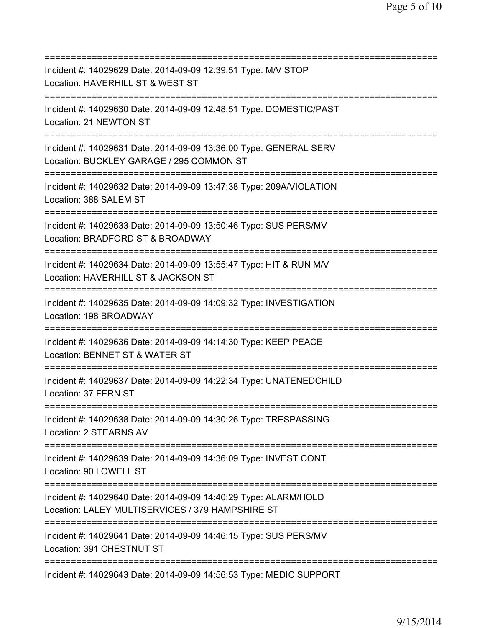| Incident #: 14029629 Date: 2014-09-09 12:39:51 Type: M/V STOP<br>Location: HAVERHILL ST & WEST ST                                  |
|------------------------------------------------------------------------------------------------------------------------------------|
| Incident #: 14029630 Date: 2014-09-09 12:48:51 Type: DOMESTIC/PAST<br>Location: 21 NEWTON ST                                       |
| Incident #: 14029631 Date: 2014-09-09 13:36:00 Type: GENERAL SERV<br>Location: BUCKLEY GARAGE / 295 COMMON ST                      |
| Incident #: 14029632 Date: 2014-09-09 13:47:38 Type: 209A/VIOLATION<br>Location: 388 SALEM ST<br>================================= |
| Incident #: 14029633 Date: 2014-09-09 13:50:46 Type: SUS PERS/MV<br>Location: BRADFORD ST & BROADWAY<br>=======================    |
| Incident #: 14029634 Date: 2014-09-09 13:55:47 Type: HIT & RUN M/V<br>Location: HAVERHILL ST & JACKSON ST                          |
| Incident #: 14029635 Date: 2014-09-09 14:09:32 Type: INVESTIGATION<br>Location: 198 BROADWAY<br>=============================      |
| Incident #: 14029636 Date: 2014-09-09 14:14:30 Type: KEEP PEACE<br>Location: BENNET ST & WATER ST                                  |
| Incident #: 14029637 Date: 2014-09-09 14:22:34 Type: UNATENEDCHILD<br>Location: 37 FERN ST                                         |
| Incident #: 14029638 Date: 2014-09-09 14:30:26 Type: TRESPASSING<br>Location: 2 STEARNS AV                                         |
| Incident #: 14029639 Date: 2014-09-09 14:36:09 Type: INVEST CONT<br>Location: 90 LOWELL ST                                         |
| Incident #: 14029640 Date: 2014-09-09 14:40:29 Type: ALARM/HOLD<br>Location: LALEY MULTISERVICES / 379 HAMPSHIRE ST                |
| Incident #: 14029641 Date: 2014-09-09 14:46:15 Type: SUS PERS/MV<br>Location: 391 CHESTNUT ST                                      |
| Incident #: 14029643 Date: 2014-09-09 14:56:53 Type: MEDIC SUPPORT                                                                 |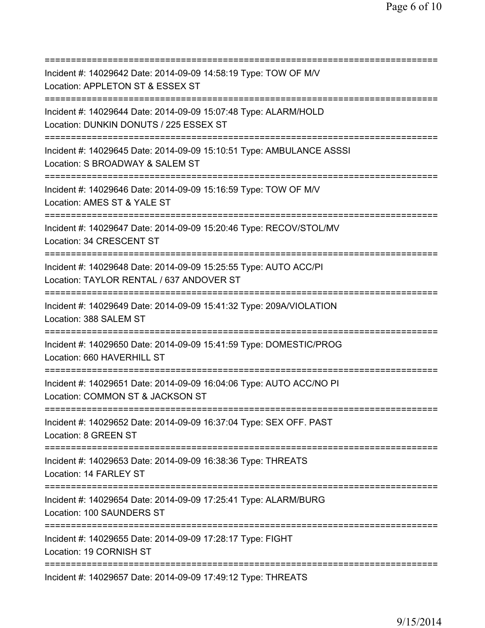| Incident #: 14029642 Date: 2014-09-09 14:58:19 Type: TOW OF M/V<br>Location: APPLETON ST & ESSEX ST                                        |
|--------------------------------------------------------------------------------------------------------------------------------------------|
| Incident #: 14029644 Date: 2014-09-09 15:07:48 Type: ALARM/HOLD<br>Location: DUNKIN DONUTS / 225 ESSEX ST<br>============================= |
| Incident #: 14029645 Date: 2014-09-09 15:10:51 Type: AMBULANCE ASSSI<br>Location: S BROADWAY & SALEM ST                                    |
| Incident #: 14029646 Date: 2014-09-09 15:16:59 Type: TOW OF M/V<br>Location: AMES ST & YALE ST<br>===========================              |
| Incident #: 14029647 Date: 2014-09-09 15:20:46 Type: RECOV/STOL/MV<br>Location: 34 CRESCENT ST                                             |
| Incident #: 14029648 Date: 2014-09-09 15:25:55 Type: AUTO ACC/PI<br>Location: TAYLOR RENTAL / 637 ANDOVER ST<br>======================     |
| Incident #: 14029649 Date: 2014-09-09 15:41:32 Type: 209A/VIOLATION<br>Location: 388 SALEM ST                                              |
| Incident #: 14029650 Date: 2014-09-09 15:41:59 Type: DOMESTIC/PROG<br>Location: 660 HAVERHILL ST                                           |
| Incident #: 14029651 Date: 2014-09-09 16:04:06 Type: AUTO ACC/NO PI<br>Location: COMMON ST & JACKSON ST                                    |
| Incident #: 14029652 Date: 2014-09-09 16:37:04 Type: SEX OFF. PAST<br>Location: 8 GREEN ST                                                 |
| Incident #: 14029653 Date: 2014-09-09 16:38:36 Type: THREATS<br>Location: 14 FARLEY ST                                                     |
| ======================================<br>Incident #: 14029654 Date: 2014-09-09 17:25:41 Type: ALARM/BURG<br>Location: 100 SAUNDERS ST     |
| Incident #: 14029655 Date: 2014-09-09 17:28:17 Type: FIGHT<br>Location: 19 CORNISH ST                                                      |
| Incident #: 14029657 Date: 2014-09-09 17:49:12 Type: THREATS                                                                               |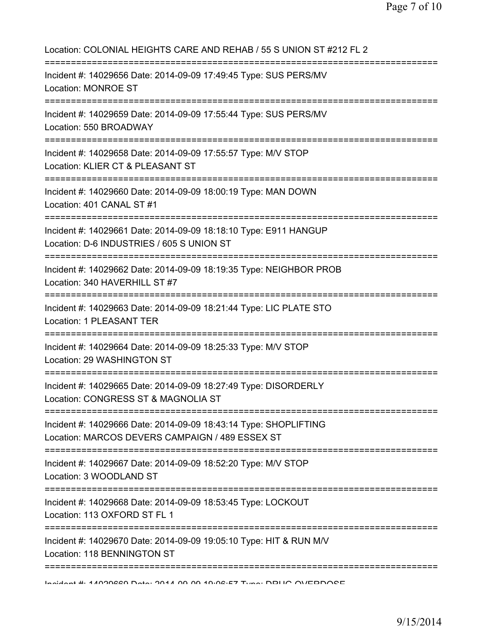| Location: COLONIAL HEIGHTS CARE AND REHAB / 55 S UNION ST #212 FL 2<br>=================================                                          |
|---------------------------------------------------------------------------------------------------------------------------------------------------|
| Incident #: 14029656 Date: 2014-09-09 17:49:45 Type: SUS PERS/MV<br><b>Location: MONROE ST</b><br>-----------------------------------             |
| Incident #: 14029659 Date: 2014-09-09 17:55:44 Type: SUS PERS/MV<br>Location: 550 BROADWAY                                                        |
| Incident #: 14029658 Date: 2014-09-09 17:55:57 Type: M/V STOP<br>Location: KLIER CT & PLEASANT ST                                                 |
| Incident #: 14029660 Date: 2014-09-09 18:00:19 Type: MAN DOWN<br>Location: 401 CANAL ST #1                                                        |
| Incident #: 14029661 Date: 2014-09-09 18:18:10 Type: E911 HANGUP<br>Location: D-6 INDUSTRIES / 605 S UNION ST<br>================================ |
| Incident #: 14029662 Date: 2014-09-09 18:19:35 Type: NEIGHBOR PROB<br>Location: 340 HAVERHILL ST #7                                               |
| Incident #: 14029663 Date: 2014-09-09 18:21:44 Type: LIC PLATE STO<br>Location: 1 PLEASANT TER                                                    |
| Incident #: 14029664 Date: 2014-09-09 18:25:33 Type: M/V STOP<br>Location: 29 WASHINGTON ST                                                       |
| Incident #: 14029665 Date: 2014-09-09 18:27:49 Type: DISORDERLY<br>Location: CONGRESS ST & MAGNOLIA ST                                            |
| Incident #: 14029666 Date: 2014-09-09 18:43:14 Type: SHOPLIFTING<br>Location: MARCOS DEVERS CAMPAIGN / 489 ESSEX ST                               |
| Incident #: 14029667 Date: 2014-09-09 18:52:20 Type: M/V STOP<br>Location: 3 WOODLAND ST                                                          |
| :=========<br>Incident #: 14029668 Date: 2014-09-09 18:53:45 Type: LOCKOUT<br>Location: 113 OXFORD ST FL 1                                        |
| Incident #: 14029670 Date: 2014-09-09 19:05:10 Type: HIT & RUN M/V<br>Location: 118 BENNINGTON ST                                                 |
|                                                                                                                                                   |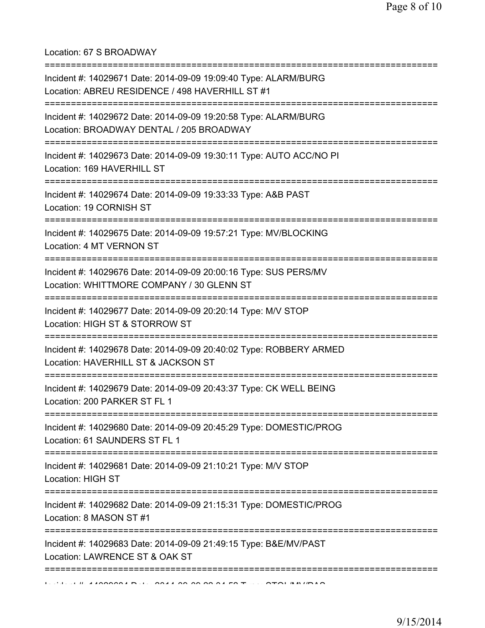## Location: 67 S BROADWAY

| Incident #: 14029671 Date: 2014-09-09 19:09:40 Type: ALARM/BURG<br>Location: ABREU RESIDENCE / 498 HAVERHILL ST #1                      |
|-----------------------------------------------------------------------------------------------------------------------------------------|
| Incident #: 14029672 Date: 2014-09-09 19:20:58 Type: ALARM/BURG<br>Location: BROADWAY DENTAL / 205 BROADWAY                             |
| Incident #: 14029673 Date: 2014-09-09 19:30:11 Type: AUTO ACC/NO PI<br>Location: 169 HAVERHILL ST<br>================================== |
| Incident #: 14029674 Date: 2014-09-09 19:33:33 Type: A&B PAST<br>Location: 19 CORNISH ST                                                |
| Incident #: 14029675 Date: 2014-09-09 19:57:21 Type: MV/BLOCKING<br>Location: 4 MT VERNON ST                                            |
| Incident #: 14029676 Date: 2014-09-09 20:00:16 Type: SUS PERS/MV<br>Location: WHITTMORE COMPANY / 30 GLENN ST                           |
| Incident #: 14029677 Date: 2014-09-09 20:20:14 Type: M/V STOP<br>Location: HIGH ST & STORROW ST                                         |
| Incident #: 14029678 Date: 2014-09-09 20:40:02 Type: ROBBERY ARMED<br>Location: HAVERHILL ST & JACKSON ST                               |
| Incident #: 14029679 Date: 2014-09-09 20:43:37 Type: CK WELL BEING<br>Location: 200 PARKER ST FL 1                                      |
| Incident #: 14029680 Date: 2014-09-09 20:45:29 Type: DOMESTIC/PROG<br>Location: 61 SAUNDERS ST FL 1                                     |
| Incident #: 14029681 Date: 2014-09-09 21:10:21 Type: M/V STOP<br>Location: HIGH ST                                                      |
| Incident #: 14029682 Date: 2014-09-09 21:15:31 Type: DOMESTIC/PROG<br>Location: 8 MASON ST #1                                           |
| Incident #: 14029683 Date: 2014-09-09 21:49:15 Type: B&E/MV/PAST<br>Location: LAWRENCE ST & OAK ST                                      |
|                                                                                                                                         |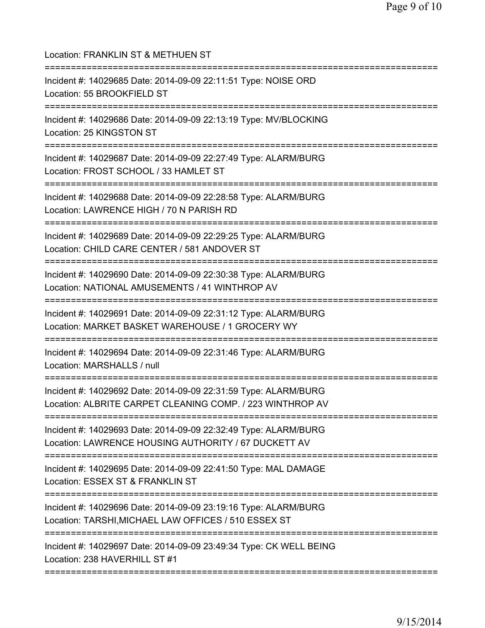| Location: FRANKLIN ST & METHUEN ST                                                                                           |
|------------------------------------------------------------------------------------------------------------------------------|
| Incident #: 14029685 Date: 2014-09-09 22:11:51 Type: NOISE ORD<br>Location: 55 BROOKFIELD ST                                 |
| Incident #: 14029686 Date: 2014-09-09 22:13:19 Type: MV/BLOCKING<br>Location: 25 KINGSTON ST                                 |
| Incident #: 14029687 Date: 2014-09-09 22:27:49 Type: ALARM/BURG<br>Location: FROST SCHOOL / 33 HAMLET ST                     |
| Incident #: 14029688 Date: 2014-09-09 22:28:58 Type: ALARM/BURG<br>Location: LAWRENCE HIGH / 70 N PARISH RD                  |
| Incident #: 14029689 Date: 2014-09-09 22:29:25 Type: ALARM/BURG<br>Location: CHILD CARE CENTER / 581 ANDOVER ST              |
| Incident #: 14029690 Date: 2014-09-09 22:30:38 Type: ALARM/BURG<br>Location: NATIONAL AMUSEMENTS / 41 WINTHROP AV            |
| Incident #: 14029691 Date: 2014-09-09 22:31:12 Type: ALARM/BURG<br>Location: MARKET BASKET WAREHOUSE / 1 GROCERY WY          |
| Incident #: 14029694 Date: 2014-09-09 22:31:46 Type: ALARM/BURG<br>Location: MARSHALLS / null                                |
| Incident #: 14029692 Date: 2014-09-09 22:31:59 Type: ALARM/BURG<br>Location: ALBRITE CARPET CLEANING COMP. / 223 WINTHROP AV |
| Incident #: 14029693 Date: 2014-09-09 22:32:49 Type: ALARM/BURG<br>Location: LAWRENCE HOUSING AUTHORITY / 67 DUCKETT AV      |
| Incident #: 14029695 Date: 2014-09-09 22:41:50 Type: MAL DAMAGE<br>Location: ESSEX ST & FRANKLIN ST                          |
| Incident #: 14029696 Date: 2014-09-09 23:19:16 Type: ALARM/BURG<br>Location: TARSHI, MICHAEL LAW OFFICES / 510 ESSEX ST      |
| Incident #: 14029697 Date: 2014-09-09 23:49:34 Type: CK WELL BEING<br>Location: 238 HAVERHILL ST #1                          |
|                                                                                                                              |